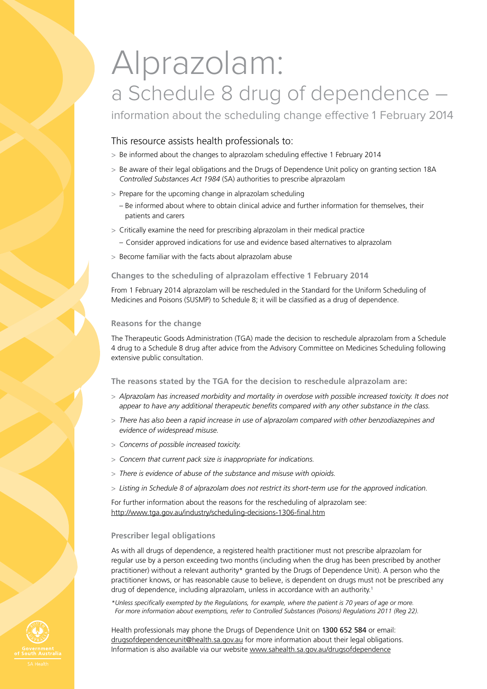# Alprazolam: a Schedule 8 drug of dependence –

information about the scheduling change effective 1 February 2014

## This resource assists health professionals to:

- > Be informed about the changes to alprazolam scheduling effective 1 February 2014
- > Be aware of their legal obligations and the Drugs of Dependence Unit policy on granting section 18A *Controlled Substances Act 1984* (SA) authorities to prescribe alprazolam
- > Prepare for the upcoming change in alprazolam scheduling
	- Be informed about where to obtain clinical advice and further information for themselves, their patients and carers
- > Critically examine the need for prescribing alprazolam in their medical practice
	- Consider approved indications for use and evidence based alternatives to alprazolam
- > Become familiar with the facts about alprazolam abuse

## **Changes to the scheduling of alprazolam effective 1 February 2014**

From 1 February 2014 alprazolam will be rescheduled in the Standard for the Uniform Scheduling of Medicines and Poisons (SUSMP) to Schedule 8; it will be classified as a drug of dependence.

## **Reasons for the change**

The Therapeutic Goods Administration (TGA) made the decision to reschedule alprazolam from a Schedule 4 drug to a Schedule 8 drug after advice from the Advisory Committee on Medicines Scheduling following extensive public consultation.

**The reasons stated by the TGA for the decision to reschedule alprazolam are:**

- > *Alprazolam has increased morbidity and mortality in overdose with possible increased toxicity. It does not appear to have any additional therapeutic benefits compared with any other substance in the class.*
- > *There has also been a rapid increase in use of alprazolam compared with other benzodiazepines and evidence of widespread misuse.*
- > *Concerns of possible increased toxicity.*
- > *Concern that current pack size is inappropriate for indications.*
- > *There is evidence of abuse of the substance and misuse with opioids.*
- > *Listing in Schedule 8 of alprazolam does not restrict its short-term use for the approved indication.*

For further information about the reasons for the rescheduling of alprazolam see: http://www.tga.gov.au/industry/scheduling-decisions-1306-final.htm

## **Prescriber legal obligations**

As with all drugs of dependence, a registered health practitioner must not prescribe alprazolam for regular use by a person exceeding two months (including when the drug has been prescribed by another practitioner) without a relevant authority\* granted by the Drugs of Dependence Unit). A person who the practitioner knows, or has reasonable cause to believe, is dependent on drugs must not be prescribed any drug of dependence, including alprazolam, unless in accordance with an authority.1

*\*Unless specifically exempted by the Regulations, for example, where the patient is 70 years of age or more. For more information about exemptions, refer to Controlled Substances (Poisons) Regulations 2011 (Reg 22).*

Health professionals may phone the Drugs of Dependence Unit on 1300 652 584 or email: drugsofdependenceunit@health.sa.gov.au for more information about their legal obligations. Information is also available via our website www.sahealth.sa.gov.au/drugsofdependence

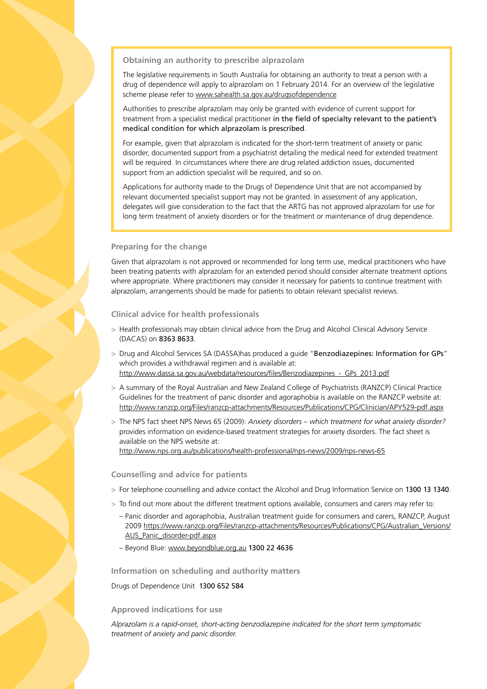## **Obtaining an authority to prescribe alprazolam**

The legislative requirements in South Australia for obtaining an authority to treat a person with a drug of dependence will apply to alprazolam on 1 February 2014. For an overview of the legislative scheme please refer to www.sahealth.sa.gov.au/drugsofdependence

Authorities to prescribe alprazolam may only be granted with evidence of current support for treatment from a specialist medical practitioner in the field of specialty relevant to the patient's medical condition for which alprazolam is prescribed.

For example, given that alprazolam is indicated for the short-term treatment of anxiety or panic disorder, documented support from a psychiatrist detailing the medical need for extended treatment will be required. In circumstances where there are drug related addiction issues, documented support from an addiction specialist will be required, and so on.

Applications for authority made to the Drugs of Dependence Unit that are not accompanied by relevant documented specialist support may not be granted. In assessment of any application, delegates will give consideration to the fact that the ARTG has not approved alprazolam for use for long term treatment of anxiety disorders or for the treatment or maintenance of drug dependence.

### **Preparing for the change**

Given that alprazolam is not approved or recommended for long term use, medical practitioners who have been treating patients with alprazolam for an extended period should consider alternate treatment options where appropriate. Where practitioners may consider it necessary for patients to continue treatment with alprazolam, arrangements should be made for patients to obtain relevant specialist reviews.

**Clinical advice for health professionals**

- > Health professionals may obtain clinical advice from the Drug and Alcohol Clinical Advisory Service (DACAS) on 8363 8633.
- > Drug and Alcohol Services SA (DASSA)has produced a quide "Benzodiazepines: Information for GPs" which provides a withdrawal regimen and is available at: http://www.dassa.sa.gov.au/webdata/resources/files/Benzodiazepines\_-\_GPs\_2013.pdf
- > A summary of the Royal Australian and New Zealand College of Psychiatrists (RANZCP) Clinical Practice Guidelines for the treatment of panic disorder and agoraphobia is available on the RANZCP website at: http://www.ranzcp.org/Files/ranzcp-attachments/Resources/Publications/CPG/Clinician/APY529-pdf.aspx
- > The NPS fact sheet NPS News 65 (2009): *Anxiety disorders which treatment for what anxiety disorder?* provides information on evidence-based treatment strategies for anxiety disorders. The fact sheet is available on the NPS website at: http://www.nps.org.au/publications/health-professional/nps-news/2009/nps-news-65

#### **Counselling and advice for patients**

- > For telephone counselling and advice contact the Alcohol and Drug Information Service on 1300 13 1340.
- > To find out more about the different treatment options available, consumers and carers may refer to:
	- Panic disorder and agoraphobia, Australian treatment guide for consumers and carers, RANZCP, August 2009 https://www.ranzcp.org/Files/ranzcp-attachments/Resources/Publications/CPG/Australian\_Versions/ AUS\_Panic\_disorder-pdf.aspx
	- Beyond Blue: www.beyondblue.org.au 1300 22 4636

**Information on scheduling and authority matters**

Drugs of Dependence Unit 1300 652 584

## **Approved indications for use**

*Alprazolam is a rapid-onset, short-acting benzodiazepine indicated for the short term symptomatic treatment of anxiety and panic disorder.*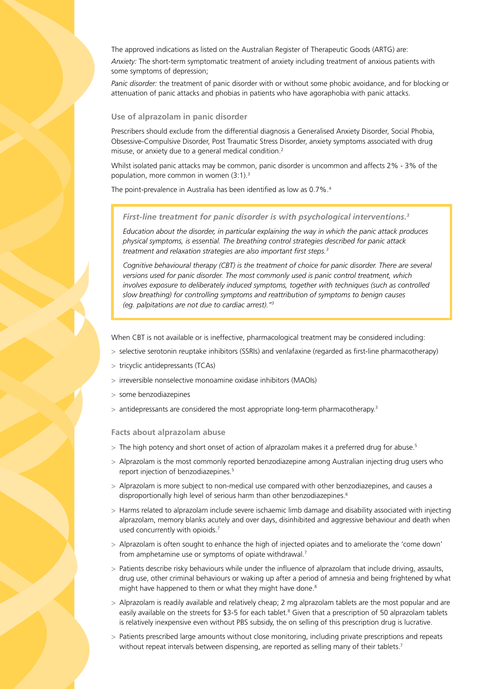The approved indications as listed on the Australian Register of Therapeutic Goods (ARTG) are: *Anxiety:* The short-term symptomatic treatment of anxiety including treatment of anxious patients with some symptoms of depression;

*Panic disorder:* the treatment of panic disorder with or without some phobic avoidance, and for blocking or attenuation of panic attacks and phobias in patients who have agoraphobia with panic attacks.

#### **Use of alprazolam in panic disorder**

Prescribers should exclude from the differential diagnosis a Generalised Anxiety Disorder, Social Phobia, Obsessive-Compulsive Disorder, Post Traumatic Stress Disorder, anxiety symptoms associated with drug misuse, or anxiety due to a general medical condition.2

Whilst isolated panic attacks may be common, panic disorder is uncommon and affects 2% - 3% of the population, more common in women (3:1).3

The point-prevalence in Australia has been identified as low as 0.7%.4

#### *First-line treatment for panic disorder is with psychological interventions.3*

*Education about the disorder, in particular explaining the way in which the panic attack produces physical symptoms, is essential. The breathing control strategies described for panic attack treatment and relaxation strategies are also important first steps.3*

*Cognitive behavioural therapy (CBT) is the treatment of choice for panic disorder. There are several versions used for panic disorder. The most commonly used is panic control treatment, which involves exposure to deliberately induced symptoms, together with techniques (such as controlled slow breathing) for controlling symptoms and reattribution of symptoms to benign causes (eg. palpitations are not due to cardiac arrest)."3*

When CBT is not available or is ineffective, pharmacological treatment may be considered including:

- > selective serotonin reuptake inhibitors (SSRIs) and venlafaxine (regarded as first-line pharmacotherapy)
- > tricyclic antidepressants (TCAs)
- > irreversible nonselective monoamine oxidase inhibitors (MAOIs)
- some benzodiazepines
- $>$  antidepressants are considered the most appropriate long-term pharmacotherapy.<sup>3</sup>

#### **Facts about alprazolam abuse**

- > The high potency and short onset of action of alprazolam makes it a preferred drug for abuse.<sup>5</sup>
- > Alprazolam is the most commonly reported benzodiazepine among Australian injecting drug users who report injection of benzodiazepines.<sup>5</sup>
- > Alprazolam is more subject to non-medical use compared with other benzodiazepines, and causes a disproportionally high level of serious harm than other benzodiazepines.<sup>6</sup>
- > Harms related to alprazolam include severe ischaemic limb damage and disability associated with injecting alprazolam, memory blanks acutely and over days, disinhibited and aggressive behaviour and death when used concurrently with opioids.<sup>7</sup>
- > Alprazolam is often sought to enhance the high of injected opiates and to ameliorate the 'come down' from amphetamine use or symptoms of opiate withdrawal.<sup>7</sup>
- > Patients describe risky behaviours while under the influence of alprazolam that include driving, assaults, drug use, other criminal behaviours or waking up after a period of amnesia and being frightened by what might have happened to them or what they might have done.<sup>8</sup>
- > Alprazolam is readily available and relatively cheap; 2 mg alprazolam tablets are the most popular and are easily available on the streets for \$3-5 for each tablet.<sup>8</sup> Given that a prescription of 50 alprazolam tablets is relatively inexpensive even without PBS subsidy, the on selling of this prescription drug is lucrative.
- > Patients prescribed large amounts without close monitoring, including private prescriptions and repeats without repeat intervals between dispensing, are reported as selling many of their tablets.<sup>7</sup>